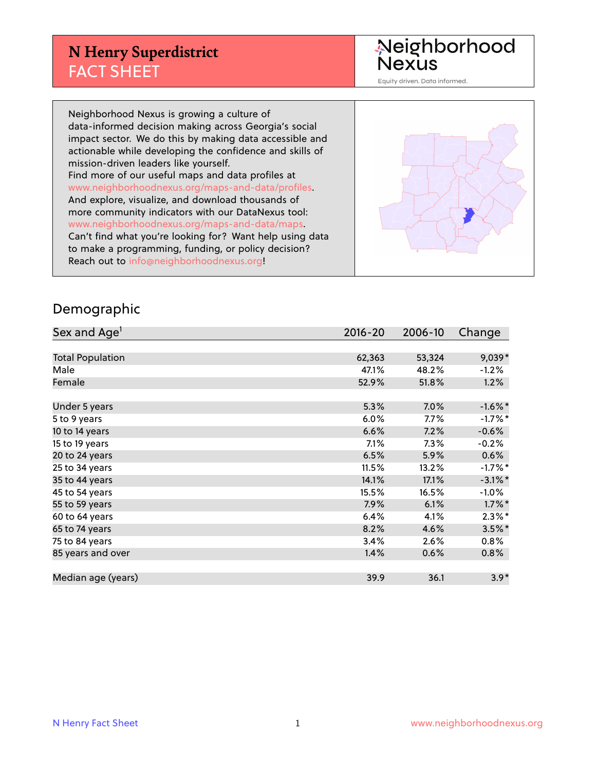## **N Henry Superdistrict** FACT SHEET

Neighborhood<br>Nexus

Equity driven. Data informed.

Neighborhood Nexus is growing a culture of data-informed decision making across Georgia's social impact sector. We do this by making data accessible and actionable while developing the confidence and skills of mission-driven leaders like yourself. Find more of our useful maps and data profiles at www.neighborhoodnexus.org/maps-and-data/profiles. And explore, visualize, and download thousands of more community indicators with our DataNexus tool: www.neighborhoodnexus.org/maps-and-data/maps. Can't find what you're looking for? Want help using data to make a programming, funding, or policy decision? Reach out to [info@neighborhoodnexus.org!](mailto:info@neighborhoodnexus.org)



#### Demographic

| Sex and Age <sup>1</sup> | $2016 - 20$ | 2006-10 | Change     |
|--------------------------|-------------|---------|------------|
|                          |             |         |            |
| <b>Total Population</b>  | 62,363      | 53,324  | 9,039*     |
| Male                     | 47.1%       | 48.2%   | $-1.2%$    |
| Female                   | 52.9%       | 51.8%   | 1.2%       |
|                          |             |         |            |
| Under 5 years            | 5.3%        | 7.0%    | $-1.6\%$ * |
| 5 to 9 years             | 6.0%        | 7.7%    | $-1.7%$ *  |
| 10 to 14 years           | 6.6%        | 7.2%    | $-0.6%$    |
| 15 to 19 years           | 7.1%        | 7.3%    | $-0.2%$    |
| 20 to 24 years           | 6.5%        | 5.9%    | 0.6%       |
| 25 to 34 years           | 11.5%       | 13.2%   | $-1.7%$ *  |
| 35 to 44 years           | 14.1%       | 17.1%   | $-3.1\%$ * |
| 45 to 54 years           | 15.5%       | 16.5%   | $-1.0%$    |
| 55 to 59 years           | 7.9%        | 6.1%    | $1.7\%$ *  |
| 60 to 64 years           | 6.4%        | 4.1%    | $2.3\%$ *  |
| 65 to 74 years           | 8.2%        | 4.6%    | $3.5%$ *   |
| 75 to 84 years           | 3.4%        | 2.6%    | 0.8%       |
| 85 years and over        | 1.4%        | 0.6%    | 0.8%       |
|                          |             |         |            |
| Median age (years)       | 39.9        | 36.1    | $3.9*$     |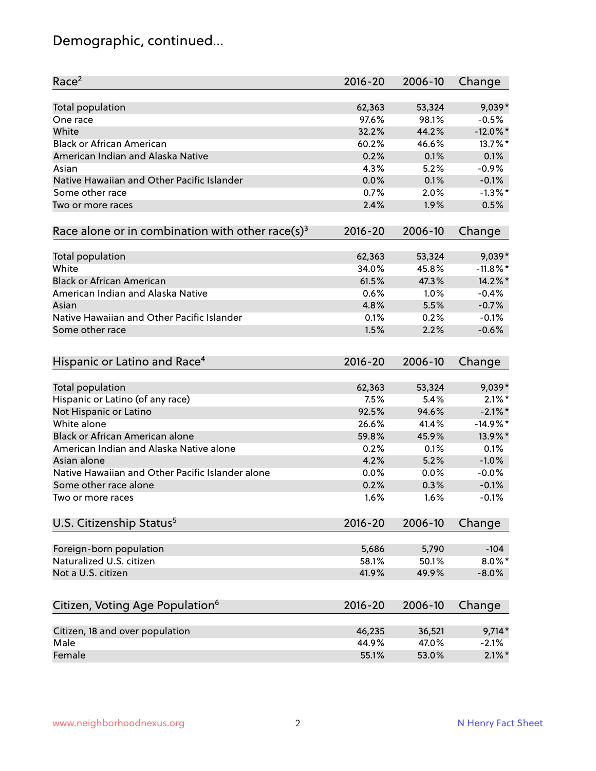# Demographic, continued...

| <b>Total population</b><br>62,363<br>53,324<br>$9,039*$<br>97.6%<br>98.1%<br>$-0.5%$<br>One race<br>White<br>32.2%<br>$-12.0\%$ *<br>44.2%<br><b>Black or African American</b><br>60.2%<br>46.6%<br>13.7%*<br>American Indian and Alaska Native<br>0.2%<br>0.1%<br>0.1%<br>4.3%<br>5.2%<br>$-0.9%$<br>Asian<br>$-0.1%$<br>Native Hawaiian and Other Pacific Islander<br>0.0%<br>0.1%<br>$-1.3\%$ *<br>0.7%<br>Some other race<br>2.0%<br>1.9%<br>0.5%<br>2.4%<br>Two or more races<br>Race alone or in combination with other race(s) <sup>3</sup><br>$2016 - 20$<br>2006-10<br>Change<br>53,324<br>$9,039*$<br>Total population<br>62,363<br>White<br>$-11.8\%$ *<br>34.0%<br>45.8%<br><b>Black or African American</b><br>14.2%*<br>61.5%<br>47.3%<br>American Indian and Alaska Native<br>$-0.4%$<br>0.6%<br>1.0%<br>4.8%<br>5.5%<br>$-0.7%$<br>Asian<br>Native Hawaiian and Other Pacific Islander<br>0.1%<br>0.2%<br>$-0.1%$<br>1.5%<br>2.2%<br>$-0.6%$<br>Some other race<br>Hispanic or Latino and Race <sup>4</sup><br>$2016 - 20$<br>2006-10<br>Change<br><b>Total population</b><br>9,039*<br>62,363<br>53,324<br>Hispanic or Latino (of any race)<br>7.5%<br>$2.1\%$ *<br>5.4%<br>Not Hispanic or Latino<br>92.5%<br>$-2.1\%$ *<br>94.6%<br>White alone<br>$-14.9%$ *<br>26.6%<br>41.4%<br>Black or African American alone<br>13.9%*<br>59.8%<br>45.9%<br>American Indian and Alaska Native alone<br>0.1%<br>0.2%<br>0.1%<br>4.2%<br>$-1.0%$<br>Asian alone<br>5.2%<br>Native Hawaiian and Other Pacific Islander alone<br>0.0%<br>0.0%<br>$-0.0%$ |
|---------------------------------------------------------------------------------------------------------------------------------------------------------------------------------------------------------------------------------------------------------------------------------------------------------------------------------------------------------------------------------------------------------------------------------------------------------------------------------------------------------------------------------------------------------------------------------------------------------------------------------------------------------------------------------------------------------------------------------------------------------------------------------------------------------------------------------------------------------------------------------------------------------------------------------------------------------------------------------------------------------------------------------------------------------------------------------------------------------------------------------------------------------------------------------------------------------------------------------------------------------------------------------------------------------------------------------------------------------------------------------------------------------------------------------------------------------------------------------------------------------------------------------------------------------------|
|                                                                                                                                                                                                                                                                                                                                                                                                                                                                                                                                                                                                                                                                                                                                                                                                                                                                                                                                                                                                                                                                                                                                                                                                                                                                                                                                                                                                                                                                                                                                                               |
|                                                                                                                                                                                                                                                                                                                                                                                                                                                                                                                                                                                                                                                                                                                                                                                                                                                                                                                                                                                                                                                                                                                                                                                                                                                                                                                                                                                                                                                                                                                                                               |
|                                                                                                                                                                                                                                                                                                                                                                                                                                                                                                                                                                                                                                                                                                                                                                                                                                                                                                                                                                                                                                                                                                                                                                                                                                                                                                                                                                                                                                                                                                                                                               |
|                                                                                                                                                                                                                                                                                                                                                                                                                                                                                                                                                                                                                                                                                                                                                                                                                                                                                                                                                                                                                                                                                                                                                                                                                                                                                                                                                                                                                                                                                                                                                               |
|                                                                                                                                                                                                                                                                                                                                                                                                                                                                                                                                                                                                                                                                                                                                                                                                                                                                                                                                                                                                                                                                                                                                                                                                                                                                                                                                                                                                                                                                                                                                                               |
|                                                                                                                                                                                                                                                                                                                                                                                                                                                                                                                                                                                                                                                                                                                                                                                                                                                                                                                                                                                                                                                                                                                                                                                                                                                                                                                                                                                                                                                                                                                                                               |
|                                                                                                                                                                                                                                                                                                                                                                                                                                                                                                                                                                                                                                                                                                                                                                                                                                                                                                                                                                                                                                                                                                                                                                                                                                                                                                                                                                                                                                                                                                                                                               |
|                                                                                                                                                                                                                                                                                                                                                                                                                                                                                                                                                                                                                                                                                                                                                                                                                                                                                                                                                                                                                                                                                                                                                                                                                                                                                                                                                                                                                                                                                                                                                               |
|                                                                                                                                                                                                                                                                                                                                                                                                                                                                                                                                                                                                                                                                                                                                                                                                                                                                                                                                                                                                                                                                                                                                                                                                                                                                                                                                                                                                                                                                                                                                                               |
|                                                                                                                                                                                                                                                                                                                                                                                                                                                                                                                                                                                                                                                                                                                                                                                                                                                                                                                                                                                                                                                                                                                                                                                                                                                                                                                                                                                                                                                                                                                                                               |
|                                                                                                                                                                                                                                                                                                                                                                                                                                                                                                                                                                                                                                                                                                                                                                                                                                                                                                                                                                                                                                                                                                                                                                                                                                                                                                                                                                                                                                                                                                                                                               |
|                                                                                                                                                                                                                                                                                                                                                                                                                                                                                                                                                                                                                                                                                                                                                                                                                                                                                                                                                                                                                                                                                                                                                                                                                                                                                                                                                                                                                                                                                                                                                               |
|                                                                                                                                                                                                                                                                                                                                                                                                                                                                                                                                                                                                                                                                                                                                                                                                                                                                                                                                                                                                                                                                                                                                                                                                                                                                                                                                                                                                                                                                                                                                                               |
|                                                                                                                                                                                                                                                                                                                                                                                                                                                                                                                                                                                                                                                                                                                                                                                                                                                                                                                                                                                                                                                                                                                                                                                                                                                                                                                                                                                                                                                                                                                                                               |
|                                                                                                                                                                                                                                                                                                                                                                                                                                                                                                                                                                                                                                                                                                                                                                                                                                                                                                                                                                                                                                                                                                                                                                                                                                                                                                                                                                                                                                                                                                                                                               |
|                                                                                                                                                                                                                                                                                                                                                                                                                                                                                                                                                                                                                                                                                                                                                                                                                                                                                                                                                                                                                                                                                                                                                                                                                                                                                                                                                                                                                                                                                                                                                               |
|                                                                                                                                                                                                                                                                                                                                                                                                                                                                                                                                                                                                                                                                                                                                                                                                                                                                                                                                                                                                                                                                                                                                                                                                                                                                                                                                                                                                                                                                                                                                                               |
|                                                                                                                                                                                                                                                                                                                                                                                                                                                                                                                                                                                                                                                                                                                                                                                                                                                                                                                                                                                                                                                                                                                                                                                                                                                                                                                                                                                                                                                                                                                                                               |
|                                                                                                                                                                                                                                                                                                                                                                                                                                                                                                                                                                                                                                                                                                                                                                                                                                                                                                                                                                                                                                                                                                                                                                                                                                                                                                                                                                                                                                                                                                                                                               |
|                                                                                                                                                                                                                                                                                                                                                                                                                                                                                                                                                                                                                                                                                                                                                                                                                                                                                                                                                                                                                                                                                                                                                                                                                                                                                                                                                                                                                                                                                                                                                               |
|                                                                                                                                                                                                                                                                                                                                                                                                                                                                                                                                                                                                                                                                                                                                                                                                                                                                                                                                                                                                                                                                                                                                                                                                                                                                                                                                                                                                                                                                                                                                                               |
|                                                                                                                                                                                                                                                                                                                                                                                                                                                                                                                                                                                                                                                                                                                                                                                                                                                                                                                                                                                                                                                                                                                                                                                                                                                                                                                                                                                                                                                                                                                                                               |
|                                                                                                                                                                                                                                                                                                                                                                                                                                                                                                                                                                                                                                                                                                                                                                                                                                                                                                                                                                                                                                                                                                                                                                                                                                                                                                                                                                                                                                                                                                                                                               |
|                                                                                                                                                                                                                                                                                                                                                                                                                                                                                                                                                                                                                                                                                                                                                                                                                                                                                                                                                                                                                                                                                                                                                                                                                                                                                                                                                                                                                                                                                                                                                               |
|                                                                                                                                                                                                                                                                                                                                                                                                                                                                                                                                                                                                                                                                                                                                                                                                                                                                                                                                                                                                                                                                                                                                                                                                                                                                                                                                                                                                                                                                                                                                                               |
|                                                                                                                                                                                                                                                                                                                                                                                                                                                                                                                                                                                                                                                                                                                                                                                                                                                                                                                                                                                                                                                                                                                                                                                                                                                                                                                                                                                                                                                                                                                                                               |
|                                                                                                                                                                                                                                                                                                                                                                                                                                                                                                                                                                                                                                                                                                                                                                                                                                                                                                                                                                                                                                                                                                                                                                                                                                                                                                                                                                                                                                                                                                                                                               |
|                                                                                                                                                                                                                                                                                                                                                                                                                                                                                                                                                                                                                                                                                                                                                                                                                                                                                                                                                                                                                                                                                                                                                                                                                                                                                                                                                                                                                                                                                                                                                               |
| $-0.1%$<br>Some other race alone<br>0.2%<br>0.3%                                                                                                                                                                                                                                                                                                                                                                                                                                                                                                                                                                                                                                                                                                                                                                                                                                                                                                                                                                                                                                                                                                                                                                                                                                                                                                                                                                                                                                                                                                              |
| 1.6%<br>1.6%<br>$-0.1%$<br>Two or more races                                                                                                                                                                                                                                                                                                                                                                                                                                                                                                                                                                                                                                                                                                                                                                                                                                                                                                                                                                                                                                                                                                                                                                                                                                                                                                                                                                                                                                                                                                                  |
| U.S. Citizenship Status <sup>5</sup><br>$2016 - 20$<br>2006-10<br>Change                                                                                                                                                                                                                                                                                                                                                                                                                                                                                                                                                                                                                                                                                                                                                                                                                                                                                                                                                                                                                                                                                                                                                                                                                                                                                                                                                                                                                                                                                      |
|                                                                                                                                                                                                                                                                                                                                                                                                                                                                                                                                                                                                                                                                                                                                                                                                                                                                                                                                                                                                                                                                                                                                                                                                                                                                                                                                                                                                                                                                                                                                                               |
| Foreign-born population<br>5,686<br>5,790<br>$-104$                                                                                                                                                                                                                                                                                                                                                                                                                                                                                                                                                                                                                                                                                                                                                                                                                                                                                                                                                                                                                                                                                                                                                                                                                                                                                                                                                                                                                                                                                                           |
| Naturalized U.S. citizen<br>$8.0\%$ *<br>58.1%<br>50.1%                                                                                                                                                                                                                                                                                                                                                                                                                                                                                                                                                                                                                                                                                                                                                                                                                                                                                                                                                                                                                                                                                                                                                                                                                                                                                                                                                                                                                                                                                                       |
| Not a U.S. citizen<br>41.9%<br>49.9%<br>$-8.0%$                                                                                                                                                                                                                                                                                                                                                                                                                                                                                                                                                                                                                                                                                                                                                                                                                                                                                                                                                                                                                                                                                                                                                                                                                                                                                                                                                                                                                                                                                                               |
| Citizen, Voting Age Population <sup>6</sup><br>$2016 - 20$<br>2006-10<br>Change                                                                                                                                                                                                                                                                                                                                                                                                                                                                                                                                                                                                                                                                                                                                                                                                                                                                                                                                                                                                                                                                                                                                                                                                                                                                                                                                                                                                                                                                               |
| Citizen, 18 and over population<br>46,235<br>$9,714*$<br>36,521                                                                                                                                                                                                                                                                                                                                                                                                                                                                                                                                                                                                                                                                                                                                                                                                                                                                                                                                                                                                                                                                                                                                                                                                                                                                                                                                                                                                                                                                                               |
| Male<br>44.9%<br>47.0%<br>$-2.1%$                                                                                                                                                                                                                                                                                                                                                                                                                                                                                                                                                                                                                                                                                                                                                                                                                                                                                                                                                                                                                                                                                                                                                                                                                                                                                                                                                                                                                                                                                                                             |
| Female<br>55.1%<br>53.0%<br>$2.1\%$ *                                                                                                                                                                                                                                                                                                                                                                                                                                                                                                                                                                                                                                                                                                                                                                                                                                                                                                                                                                                                                                                                                                                                                                                                                                                                                                                                                                                                                                                                                                                         |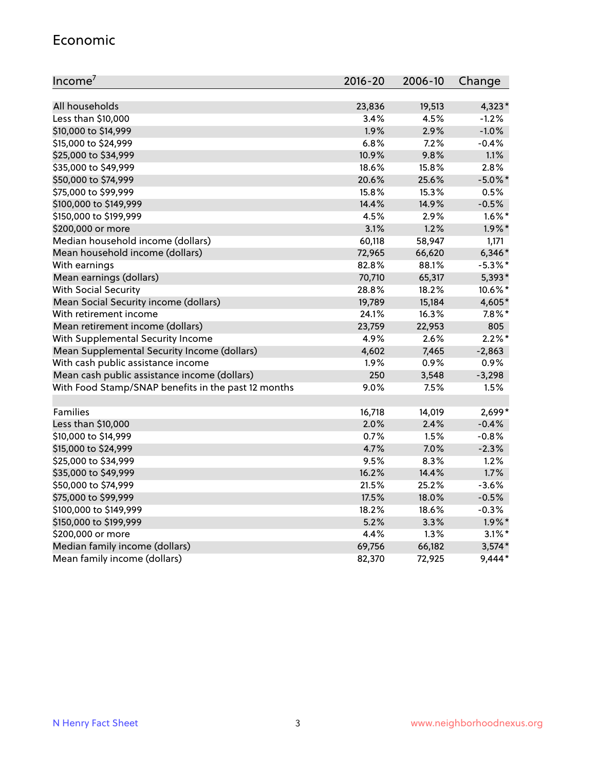#### Economic

| Income <sup>7</sup>                                 | $2016 - 20$ | 2006-10 | Change     |
|-----------------------------------------------------|-------------|---------|------------|
|                                                     |             |         |            |
| All households                                      | 23,836      | 19,513  | $4,323*$   |
| Less than \$10,000                                  | 3.4%        | 4.5%    | $-1.2%$    |
| \$10,000 to \$14,999                                | 1.9%        | 2.9%    | $-1.0%$    |
| \$15,000 to \$24,999                                | 6.8%        | 7.2%    | $-0.4%$    |
| \$25,000 to \$34,999                                | 10.9%       | 9.8%    | 1.1%       |
| \$35,000 to \$49,999                                | 18.6%       | 15.8%   | 2.8%       |
| \$50,000 to \$74,999                                | 20.6%       | 25.6%   | $-5.0\%$ * |
| \$75,000 to \$99,999                                | 15.8%       | 15.3%   | 0.5%       |
| \$100,000 to \$149,999                              | 14.4%       | 14.9%   | $-0.5%$    |
| \$150,000 to \$199,999                              | 4.5%        | 2.9%    | $1.6\%$ *  |
| \$200,000 or more                                   | 3.1%        | 1.2%    | $1.9\%$ *  |
| Median household income (dollars)                   | 60,118      | 58,947  | 1,171      |
| Mean household income (dollars)                     | 72,965      | 66,620  | $6,346*$   |
| With earnings                                       | 82.8%       | 88.1%   | $-5.3\%$ * |
| Mean earnings (dollars)                             | 70,710      | 65,317  | 5,393*     |
| <b>With Social Security</b>                         | 28.8%       | 18.2%   | 10.6%*     |
| Mean Social Security income (dollars)               | 19,789      | 15,184  | 4,605*     |
| With retirement income                              | 24.1%       | 16.3%   | $7.8\%$ *  |
| Mean retirement income (dollars)                    | 23,759      | 22,953  | 805        |
| With Supplemental Security Income                   | 4.9%        | 2.6%    | $2.2\%$ *  |
| Mean Supplemental Security Income (dollars)         | 4,602       | 7,465   | $-2,863$   |
| With cash public assistance income                  | 1.9%        | 0.9%    | 0.9%       |
| Mean cash public assistance income (dollars)        | 250         | 3,548   | $-3,298$   |
| With Food Stamp/SNAP benefits in the past 12 months | 9.0%        | 7.5%    | 1.5%       |
|                                                     |             |         |            |
| Families                                            | 16,718      | 14,019  | $2,699*$   |
| Less than \$10,000                                  | 2.0%        | 2.4%    | $-0.4%$    |
| \$10,000 to \$14,999                                | 0.7%        | 1.5%    | $-0.8%$    |
| \$15,000 to \$24,999                                | 4.7%        | 7.0%    | $-2.3%$    |
| \$25,000 to \$34,999                                | 9.5%        | 8.3%    | 1.2%       |
| \$35,000 to \$49,999                                | 16.2%       | 14.4%   | 1.7%       |
| \$50,000 to \$74,999                                | 21.5%       | 25.2%   | $-3.6%$    |
| \$75,000 to \$99,999                                | 17.5%       | 18.0%   | $-0.5%$    |
| \$100,000 to \$149,999                              | 18.2%       | 18.6%   | $-0.3%$    |
| \$150,000 to \$199,999                              | 5.2%        | 3.3%    | $1.9\%$ *  |
| \$200,000 or more                                   | 4.4%        | 1.3%    | $3.1\%$ *  |
| Median family income (dollars)                      | 69,756      | 66,182  | $3,574*$   |
| Mean family income (dollars)                        | 82,370      | 72,925  | 9,444*     |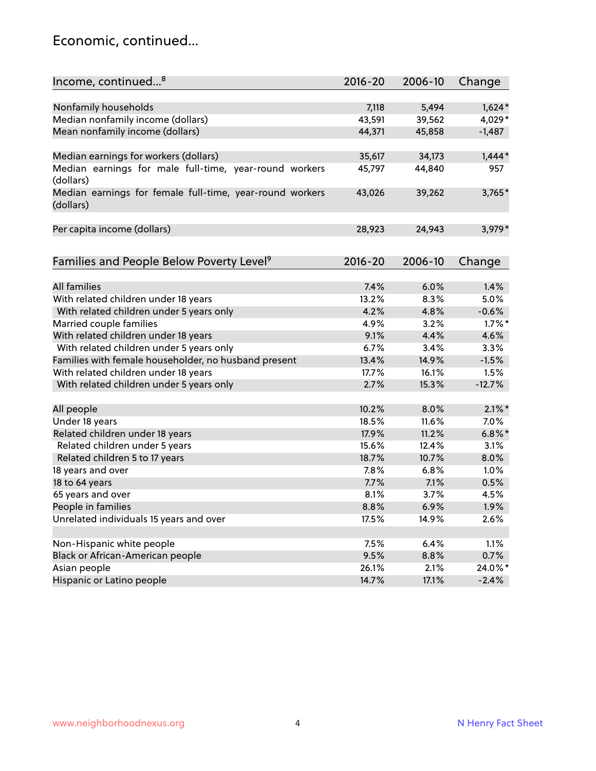#### Economic, continued...

| Income, continued <sup>8</sup>                                        | $2016 - 20$ | 2006-10 | Change    |
|-----------------------------------------------------------------------|-------------|---------|-----------|
|                                                                       |             |         |           |
| Nonfamily households                                                  | 7,118       | 5,494   | $1,624*$  |
| Median nonfamily income (dollars)                                     | 43,591      | 39,562  | 4,029*    |
| Mean nonfamily income (dollars)                                       | 44,371      | 45,858  | $-1,487$  |
| Median earnings for workers (dollars)                                 | 35,617      | 34,173  | $1,444*$  |
| Median earnings for male full-time, year-round workers<br>(dollars)   | 45,797      | 44,840  | 957       |
| Median earnings for female full-time, year-round workers<br>(dollars) | 43,026      | 39,262  | $3,765*$  |
| Per capita income (dollars)                                           | 28,923      | 24,943  | 3,979*    |
| Families and People Below Poverty Level <sup>9</sup>                  | 2016-20     | 2006-10 | Change    |
|                                                                       |             |         |           |
| All families                                                          | 7.4%        | 6.0%    | 1.4%      |
| With related children under 18 years                                  | 13.2%       | 8.3%    | 5.0%      |
| With related children under 5 years only                              | 4.2%        | 4.8%    | $-0.6%$   |
| Married couple families                                               | 4.9%        | 3.2%    | $1.7\%$ * |
| With related children under 18 years                                  | 9.1%        | 4.4%    | 4.6%      |
| With related children under 5 years only                              | 6.7%        | 3.4%    | 3.3%      |
| Families with female householder, no husband present                  | 13.4%       | 14.9%   | $-1.5%$   |
| With related children under 18 years                                  | 17.7%       | 16.1%   | 1.5%      |
| With related children under 5 years only                              | 2.7%        | 15.3%   | $-12.7%$  |
|                                                                       |             |         | $2.1\%$ * |
| All people                                                            | 10.2%       | 8.0%    |           |
| Under 18 years                                                        | 18.5%       | 11.6%   | 7.0%      |
| Related children under 18 years                                       | 17.9%       | 11.2%   | $6.8\%$ * |
| Related children under 5 years                                        | 15.6%       | 12.4%   | 3.1%      |
| Related children 5 to 17 years                                        | 18.7%       | 10.7%   | 8.0%      |
| 18 years and over                                                     | 7.8%        | 6.8%    | 1.0%      |
| 18 to 64 years                                                        | 7.7%        | 7.1%    | 0.5%      |
| 65 years and over                                                     | 8.1%        | 3.7%    | 4.5%      |
| People in families                                                    | 8.8%        | 6.9%    | 1.9%      |
| Unrelated individuals 15 years and over                               | 17.5%       | 14.9%   | 2.6%      |
|                                                                       |             |         |           |
| Non-Hispanic white people                                             | 7.5%        | 6.4%    | 1.1%      |
| Black or African-American people                                      | 9.5%        | 8.8%    | 0.7%      |
| Asian people                                                          | 26.1%       | 2.1%    | 24.0%*    |
| Hispanic or Latino people                                             | 14.7%       | 17.1%   | $-2.4%$   |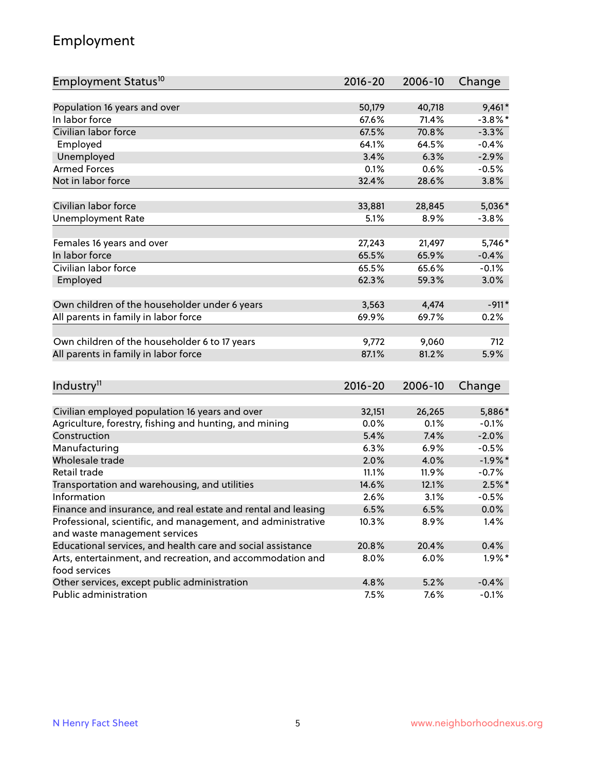## Employment

| Employment Status <sup>10</sup>                                             | $2016 - 20$ | 2006-10 | Change     |
|-----------------------------------------------------------------------------|-------------|---------|------------|
|                                                                             |             |         |            |
| Population 16 years and over                                                | 50,179      | 40,718  | $9,461*$   |
| In labor force                                                              | 67.6%       | 71.4%   | $-3.8\%$ * |
| Civilian labor force                                                        | 67.5%       | 70.8%   | $-3.3%$    |
| Employed                                                                    | 64.1%       | 64.5%   | $-0.4%$    |
| Unemployed                                                                  | 3.4%        | 6.3%    | $-2.9%$    |
| <b>Armed Forces</b>                                                         | 0.1%        | 0.6%    | $-0.5%$    |
| Not in labor force                                                          | 32.4%       | 28.6%   | 3.8%       |
|                                                                             |             |         |            |
| Civilian labor force                                                        | 33,881      | 28,845  | $5,036*$   |
| <b>Unemployment Rate</b>                                                    | 5.1%        | 8.9%    | $-3.8%$    |
| Females 16 years and over                                                   | 27,243      | 21,497  | 5,746*     |
| In labor force                                                              | 65.5%       | 65.9%   | $-0.4%$    |
| Civilian labor force                                                        | 65.5%       | 65.6%   | $-0.1%$    |
| Employed                                                                    | 62.3%       | 59.3%   | 3.0%       |
|                                                                             |             |         |            |
| Own children of the householder under 6 years                               | 3,563       | 4,474   | $-911*$    |
| All parents in family in labor force                                        | 69.9%       | 69.7%   | 0.2%       |
|                                                                             |             |         |            |
| Own children of the householder 6 to 17 years                               | 9,772       | 9,060   | 712        |
| All parents in family in labor force                                        | 87.1%       | 81.2%   | 5.9%       |
|                                                                             |             |         |            |
| Industry <sup>11</sup>                                                      | 2016-20     | 2006-10 | Change     |
|                                                                             |             |         |            |
| Civilian employed population 16 years and over                              | 32,151      | 26,265  | 5,886*     |
| Agriculture, forestry, fishing and hunting, and mining                      | 0.0%        | 0.1%    | $-0.1%$    |
| Construction                                                                | 5.4%        | 7.4%    | $-2.0%$    |
| Manufacturing                                                               | 6.3%        | 6.9%    | $-0.5%$    |
| Wholesale trade                                                             | 2.0%        | 4.0%    | $-1.9%$ *  |
| Retail trade                                                                | 11.1%       | 11.9%   | $-0.7%$    |
| Transportation and warehousing, and utilities                               | 14.6%       | 12.1%   | $2.5\%$ *  |
| Information                                                                 | 2.6%        | 3.1%    | $-0.5%$    |
| Finance and insurance, and real estate and rental and leasing               | 6.5%        | 6.5%    | $0.0\%$    |
| Professional, scientific, and management, and administrative                | 10.3%       | 8.9%    | 1.4%       |
| and waste management services                                               |             |         |            |
| Educational services, and health care and social assistance                 | 20.8%       | 20.4%   | 0.4%       |
| Arts, entertainment, and recreation, and accommodation and<br>food services | 8.0%        | 6.0%    | $1.9\%$ *  |
| Other services, except public administration                                | 4.8%        | 5.2%    | $-0.4%$    |
| Public administration                                                       | 7.5%        | 7.6%    | $-0.1%$    |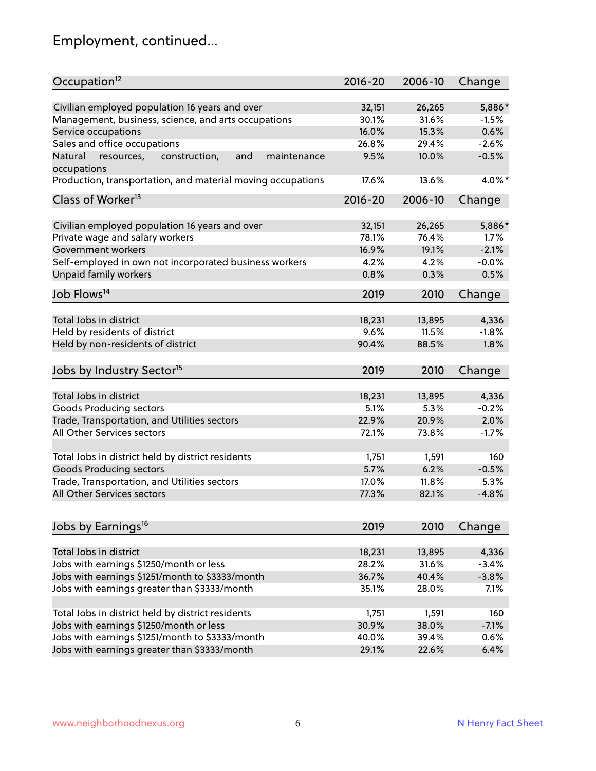# Employment, continued...

| Occupation <sup>12</sup>                                     | $2016 - 20$ | 2006-10 | Change  |
|--------------------------------------------------------------|-------------|---------|---------|
| Civilian employed population 16 years and over               | 32,151      | 26,265  | 5,886*  |
| Management, business, science, and arts occupations          | 30.1%       | 31.6%   | $-1.5%$ |
| Service occupations                                          | 16.0%       | 15.3%   | 0.6%    |
| Sales and office occupations                                 | 26.8%       | 29.4%   | $-2.6%$ |
| Natural<br>and<br>resources,<br>construction,<br>maintenance | 9.5%        | 10.0%   | $-0.5%$ |
| occupations                                                  |             |         |         |
| Production, transportation, and material moving occupations  | 17.6%       | 13.6%   | 4.0%*   |
| Class of Worker <sup>13</sup>                                | $2016 - 20$ | 2006-10 | Change  |
|                                                              |             |         |         |
| Civilian employed population 16 years and over               | 32,151      | 26,265  | 5,886*  |
| Private wage and salary workers                              | 78.1%       | 76.4%   | 1.7%    |
| Government workers                                           | 16.9%       | 19.1%   | $-2.1%$ |
| Self-employed in own not incorporated business workers       | 4.2%        | 4.2%    | $-0.0%$ |
| Unpaid family workers                                        | 0.8%        | 0.3%    | 0.5%    |
| Job Flows <sup>14</sup>                                      | 2019        | 2010    | Change  |
|                                                              |             |         |         |
| Total Jobs in district                                       | 18,231      | 13,895  | 4,336   |
| Held by residents of district                                | 9.6%        | 11.5%   | $-1.8%$ |
| Held by non-residents of district                            | 90.4%       | 88.5%   | 1.8%    |
| Jobs by Industry Sector <sup>15</sup>                        | 2019        | 2010    | Change  |
| Total Jobs in district                                       | 18,231      |         | 4,336   |
|                                                              |             | 13,895  |         |
| Goods Producing sectors                                      | 5.1%        | 5.3%    | $-0.2%$ |
| Trade, Transportation, and Utilities sectors                 | 22.9%       | 20.9%   | 2.0%    |
| All Other Services sectors                                   | 72.1%       | 73.8%   | $-1.7%$ |
| Total Jobs in district held by district residents            | 1,751       | 1,591   | 160     |
| <b>Goods Producing sectors</b>                               | 5.7%        | 6.2%    | $-0.5%$ |
| Trade, Transportation, and Utilities sectors                 | 17.0%       | 11.8%   | 5.3%    |
| All Other Services sectors                                   | 77.3%       | 82.1%   | $-4.8%$ |
|                                                              |             |         |         |
| Jobs by Earnings <sup>16</sup>                               | 2019        | 2010    | Change  |
|                                                              |             |         |         |
| Total Jobs in district                                       | 18,231      | 13,895  | 4,336   |
| Jobs with earnings \$1250/month or less                      | 28.2%       | 31.6%   | $-3.4%$ |
| Jobs with earnings \$1251/month to \$3333/month              | 36.7%       | 40.4%   | $-3.8%$ |
| Jobs with earnings greater than \$3333/month                 | 35.1%       | 28.0%   | 7.1%    |
| Total Jobs in district held by district residents            | 1,751       | 1,591   | 160     |
| Jobs with earnings \$1250/month or less                      | 30.9%       | 38.0%   | $-7.1%$ |
| Jobs with earnings \$1251/month to \$3333/month              | 40.0%       | 39.4%   | 0.6%    |
| Jobs with earnings greater than \$3333/month                 | 29.1%       | 22.6%   | 6.4%    |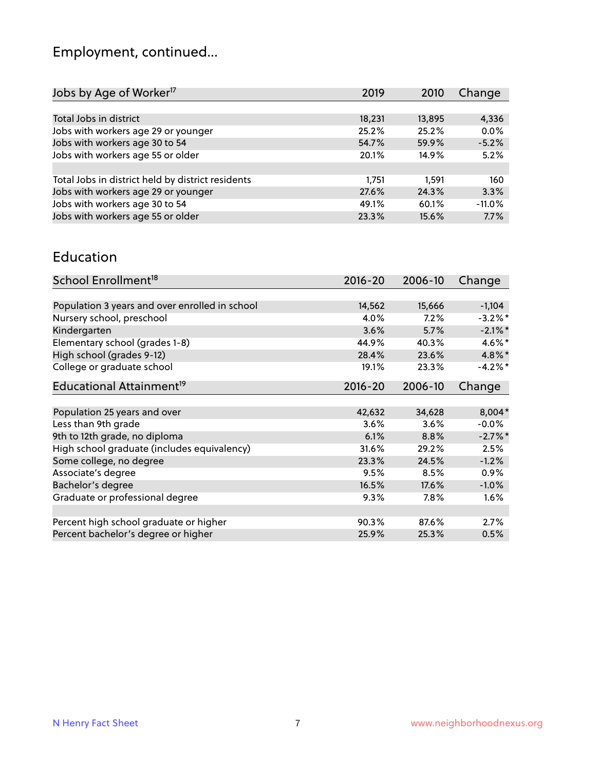# Employment, continued...

| 2019   | 2010   | Change   |
|--------|--------|----------|
|        |        |          |
| 18,231 | 13,895 | 4,336    |
| 25.2%  | 25.2%  | 0.0%     |
| 54.7%  | 59.9%  | $-5.2%$  |
| 20.1%  | 14.9%  | 5.2%     |
|        |        |          |
| 1.751  | 1.591  | 160      |
| 27.6%  | 24.3%  | 3.3%     |
| 49.1%  | 60.1%  | $-11.0%$ |
| 23.3%  | 15.6%  | 7.7%     |
|        |        |          |

#### Education

| School Enrollment <sup>18</sup>                | $2016 - 20$ | 2006-10 | Change     |
|------------------------------------------------|-------------|---------|------------|
|                                                |             |         |            |
| Population 3 years and over enrolled in school | 14,562      | 15,666  | $-1,104$   |
| Nursery school, preschool                      | 4.0%        | 7.2%    | $-3.2\%$ * |
| Kindergarten                                   | 3.6%        | 5.7%    | $-2.1\%$ * |
| Elementary school (grades 1-8)                 | 44.9%       | 40.3%   | 4.6%*      |
| High school (grades 9-12)                      | 28.4%       | 23.6%   | $4.8\%$ *  |
| College or graduate school                     | 19.1%       | 23.3%   | $-4.2\%$ * |
| Educational Attainment <sup>19</sup>           | $2016 - 20$ | 2006-10 | Change     |
|                                                |             |         |            |
| Population 25 years and over                   | 42,632      | 34,628  | 8,004*     |
| Less than 9th grade                            | 3.6%        | 3.6%    | $-0.0\%$   |
| 9th to 12th grade, no diploma                  | 6.1%        | 8.8%    | $-2.7%$ *  |
| High school graduate (includes equivalency)    | 31.6%       | 29.2%   | 2.5%       |
| Some college, no degree                        | 23.3%       | 24.5%   | $-1.2%$    |
| Associate's degree                             | 9.5%        | 8.5%    | 0.9%       |
| Bachelor's degree                              | 16.5%       | 17.6%   | $-1.0%$    |
| Graduate or professional degree                | 9.3%        | 7.8%    | 1.6%       |
|                                                |             |         |            |
| Percent high school graduate or higher         | 90.3%       | 87.6%   | 2.7%       |
| Percent bachelor's degree or higher            | 25.9%       | 25.3%   | 0.5%       |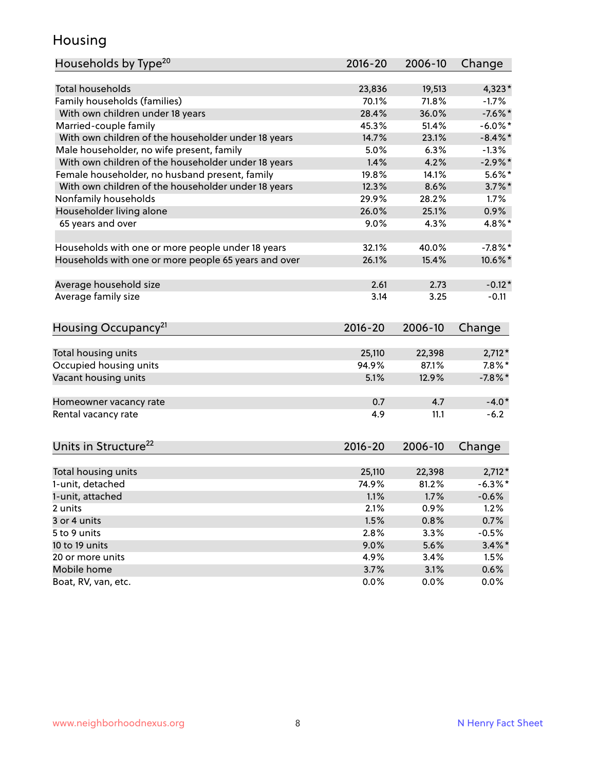## Housing

| Households by Type <sup>20</sup>                     | 2016-20     | 2006-10 | Change     |
|------------------------------------------------------|-------------|---------|------------|
|                                                      |             |         |            |
| <b>Total households</b>                              | 23,836      | 19,513  | $4,323*$   |
| Family households (families)                         | 70.1%       | 71.8%   | $-1.7%$    |
| With own children under 18 years                     | 28.4%       | 36.0%   | $-7.6%$ *  |
| Married-couple family                                | 45.3%       | 51.4%   | $-6.0\%$ * |
| With own children of the householder under 18 years  | 14.7%       | 23.1%   | $-8.4\%$ * |
| Male householder, no wife present, family            | 5.0%        | 6.3%    | $-1.3%$    |
| With own children of the householder under 18 years  | 1.4%        | 4.2%    | $-2.9%$ *  |
| Female householder, no husband present, family       | 19.8%       | 14.1%   | $5.6\%$ *  |
| With own children of the householder under 18 years  | 12.3%       | 8.6%    | $3.7\%$ *  |
| Nonfamily households                                 | 29.9%       | 28.2%   | $1.7\%$    |
| Householder living alone                             | 26.0%       | 25.1%   | 0.9%       |
| 65 years and over                                    | 9.0%        | 4.3%    | 4.8%*      |
|                                                      |             |         |            |
| Households with one or more people under 18 years    | 32.1%       | 40.0%   | $-7.8\%$ * |
| Households with one or more people 65 years and over | 26.1%       | 15.4%   | 10.6%*     |
| Average household size                               | 2.61        | 2.73    | $-0.12*$   |
| Average family size                                  | 3.14        | 3.25    | $-0.11$    |
|                                                      |             |         |            |
| Housing Occupancy <sup>21</sup>                      | $2016 - 20$ | 2006-10 | Change     |
|                                                      |             |         |            |
| Total housing units                                  | 25,110      | 22,398  | $2,712*$   |
| Occupied housing units                               | 94.9%       | 87.1%   | $7.8\%$ *  |
| Vacant housing units                                 | 5.1%        | 12.9%   | $-7.8\%$ * |
| Homeowner vacancy rate                               | 0.7         | 4.7     | $-4.0*$    |
| Rental vacancy rate                                  | 4.9         | 11.1    | $-6.2$     |
|                                                      |             |         |            |
| Units in Structure <sup>22</sup>                     | $2016 - 20$ | 2006-10 | Change     |
|                                                      |             |         |            |
| Total housing units                                  | 25,110      | 22,398  | $2,712*$   |
| 1-unit, detached                                     | 74.9%       | 81.2%   | $-6.3%$ *  |
| 1-unit, attached                                     | 1.1%        | 1.7%    | $-0.6%$    |
| 2 units                                              | 2.1%        | 0.9%    | 1.2%       |
| 3 or 4 units                                         | 1.5%        | 0.8%    | 0.7%       |
| 5 to 9 units                                         | 2.8%        | 3.3%    | $-0.5%$    |
| 10 to 19 units                                       | 9.0%        | 5.6%    | $3.4\%$ *  |
| 20 or more units                                     | 4.9%        | 3.4%    | 1.5%       |
| Mobile home                                          | 3.7%        | 3.1%    | 0.6%       |
| Boat, RV, van, etc.                                  | 0.0%        | 0.0%    | 0.0%       |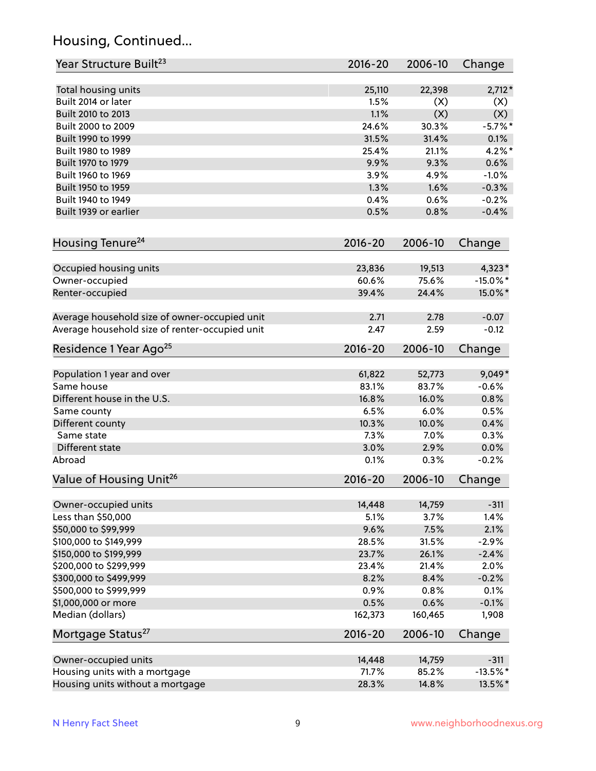## Housing, Continued...

| Year Structure Built <sup>23</sup>             | 2016-20     | 2006-10 | Change      |
|------------------------------------------------|-------------|---------|-------------|
| Total housing units                            | 25,110      | 22,398  | $2,712*$    |
| Built 2014 or later                            | 1.5%        | (X)     | (X)         |
| Built 2010 to 2013                             | 1.1%        | (X)     | (X)         |
| Built 2000 to 2009                             | 24.6%       | 30.3%   | $-5.7\%$ *  |
| Built 1990 to 1999                             | 31.5%       | 31.4%   | 0.1%        |
| Built 1980 to 1989                             | 25.4%       | 21.1%   | $4.2\%$ *   |
| Built 1970 to 1979                             | 9.9%        | 9.3%    | 0.6%        |
| Built 1960 to 1969                             | 3.9%        | 4.9%    | $-1.0%$     |
| Built 1950 to 1959                             | 1.3%        | 1.6%    | $-0.3%$     |
| Built 1940 to 1949                             | 0.4%        | 0.6%    | $-0.2%$     |
| Built 1939 or earlier                          | 0.5%        | 0.8%    | $-0.4%$     |
| Housing Tenure <sup>24</sup>                   | $2016 - 20$ | 2006-10 | Change      |
| Occupied housing units                         | 23,836      | 19,513  | 4,323*      |
| Owner-occupied                                 | 60.6%       | 75.6%   | $-15.0\%$ * |
| Renter-occupied                                | 39.4%       | 24.4%   | 15.0%*      |
|                                                |             |         |             |
| Average household size of owner-occupied unit  | 2.71        | 2.78    | $-0.07$     |
| Average household size of renter-occupied unit | 2.47        | 2.59    | $-0.12$     |
| Residence 1 Year Ago <sup>25</sup>             | $2016 - 20$ | 2006-10 | Change      |
|                                                |             |         |             |
| Population 1 year and over                     | 61,822      | 52,773  | $9,049*$    |
| Same house                                     | 83.1%       | 83.7%   | $-0.6%$     |
| Different house in the U.S.                    | 16.8%       | 16.0%   | 0.8%        |
| Same county                                    | 6.5%        | 6.0%    | 0.5%        |
| Different county                               | 10.3%       | 10.0%   | 0.4%        |
| Same state                                     | 7.3%        | 7.0%    | 0.3%        |
| Different state                                | 3.0%        | 2.9%    | 0.0%        |
| Abroad                                         | 0.1%        | 0.3%    | $-0.2%$     |
| Value of Housing Unit <sup>26</sup>            | $2016 - 20$ | 2006-10 | Change      |
| Owner-occupied units                           | 14,448      | 14,759  | $-311$      |
| Less than \$50,000                             | 5.1%        | 3.7%    | 1.4%        |
| \$50,000 to \$99,999                           | 9.6%        | 7.5%    | 2.1%        |
| \$100,000 to \$149,999                         | 28.5%       | 31.5%   | $-2.9%$     |
| \$150,000 to \$199,999                         | 23.7%       | 26.1%   | $-2.4%$     |
| \$200,000 to \$299,999                         | 23.4%       | 21.4%   | 2.0%        |
| \$300,000 to \$499,999                         | 8.2%        | 8.4%    | $-0.2%$     |
| \$500,000 to \$999,999                         | 0.9%        | 0.8%    | 0.1%        |
| \$1,000,000 or more                            | 0.5%        | 0.6%    | $-0.1%$     |
| Median (dollars)                               | 162,373     | 160,465 | 1,908       |
| Mortgage Status <sup>27</sup>                  | $2016 - 20$ | 2006-10 | Change      |
| Owner-occupied units                           | 14,448      | 14,759  | $-311$      |
| Housing units with a mortgage                  | 71.7%       | 85.2%   | $-13.5%$ *  |
| Housing units without a mortgage               | 28.3%       | 14.8%   | 13.5%*      |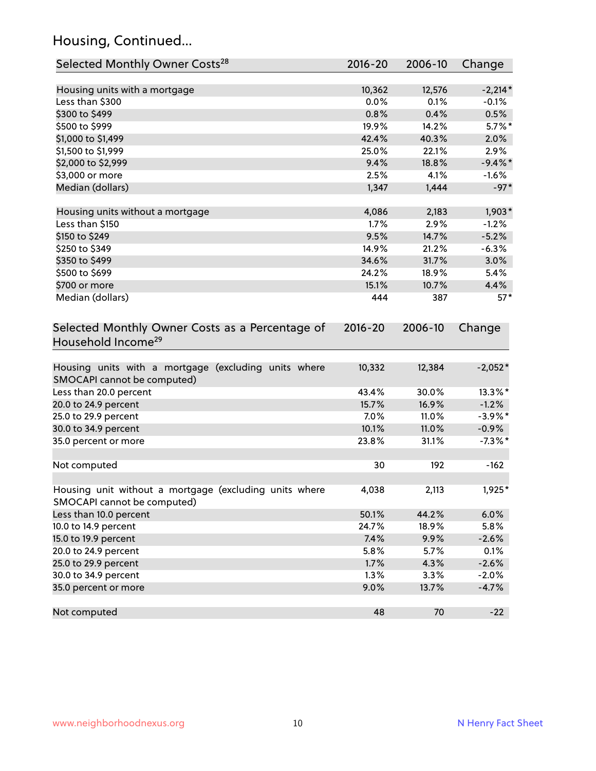## Housing, Continued...

| Selected Monthly Owner Costs <sup>28</sup>                                            | 2016-20 | 2006-10 | Change     |
|---------------------------------------------------------------------------------------|---------|---------|------------|
| Housing units with a mortgage                                                         | 10,362  | 12,576  | $-2,214*$  |
| Less than \$300                                                                       | 0.0%    | 0.1%    | $-0.1%$    |
| \$300 to \$499                                                                        | 0.8%    | 0.4%    | 0.5%       |
| \$500 to \$999                                                                        | 19.9%   | 14.2%   | $5.7\%$ *  |
| \$1,000 to \$1,499                                                                    | 42.4%   | 40.3%   | 2.0%       |
| \$1,500 to \$1,999                                                                    | 25.0%   | 22.1%   | 2.9%       |
| \$2,000 to \$2,999                                                                    | 9.4%    | 18.8%   | $-9.4\%$ * |
| \$3,000 or more                                                                       | 2.5%    | 4.1%    | $-1.6%$    |
| Median (dollars)                                                                      | 1,347   | 1,444   | $-97*$     |
| Housing units without a mortgage                                                      | 4,086   | 2,183   | $1,903*$   |
| Less than \$150                                                                       | 1.7%    | 2.9%    | $-1.2%$    |
| \$150 to \$249                                                                        | 9.5%    | 14.7%   | $-5.2%$    |
| \$250 to \$349                                                                        | 14.9%   | 21.2%   | $-6.3%$    |
| \$350 to \$499                                                                        | 34.6%   | 31.7%   | 3.0%       |
| \$500 to \$699                                                                        | 24.2%   | 18.9%   | 5.4%       |
| \$700 or more                                                                         | 15.1%   | 10.7%   | 4.4%       |
| Median (dollars)                                                                      | 444     | 387     | $57*$      |
| Selected Monthly Owner Costs as a Percentage of<br>Household Income <sup>29</sup>     |         |         | Change     |
| Housing units with a mortgage (excluding units where<br>SMOCAPI cannot be computed)   | 10,332  | 12,384  | $-2,052*$  |
| Less than 20.0 percent                                                                | 43.4%   | 30.0%   | 13.3%*     |
| 20.0 to 24.9 percent                                                                  | 15.7%   | 16.9%   | $-1.2%$    |
| 25.0 to 29.9 percent                                                                  | 7.0%    | 11.0%   | $-3.9\%$ * |
| 30.0 to 34.9 percent                                                                  | 10.1%   | 11.0%   | $-0.9%$    |
| 35.0 percent or more                                                                  | 23.8%   | 31.1%   | $-7.3\%$ * |
| Not computed                                                                          | 30      | 192     | $-162$     |
| Housing unit without a mortgage (excluding units where<br>SMOCAPI cannot be computed) | 4,038   | 2,113   | $1,925*$   |
| Less than 10.0 percent                                                                | 50.1%   | 44.2%   | 6.0%       |
| 10.0 to 14.9 percent                                                                  | 24.7%   | 18.9%   | 5.8%       |
| 15.0 to 19.9 percent                                                                  | 7.4%    | 9.9%    | $-2.6%$    |
| 20.0 to 24.9 percent                                                                  | 5.8%    | 5.7%    | 0.1%       |
| 25.0 to 29.9 percent                                                                  | 1.7%    | 4.3%    | $-2.6%$    |
| 30.0 to 34.9 percent                                                                  | 1.3%    | 3.3%    | $-2.0%$    |
| 35.0 percent or more                                                                  | 9.0%    | 13.7%   | $-4.7%$    |
| Not computed                                                                          | 48      | 70      | $-22$      |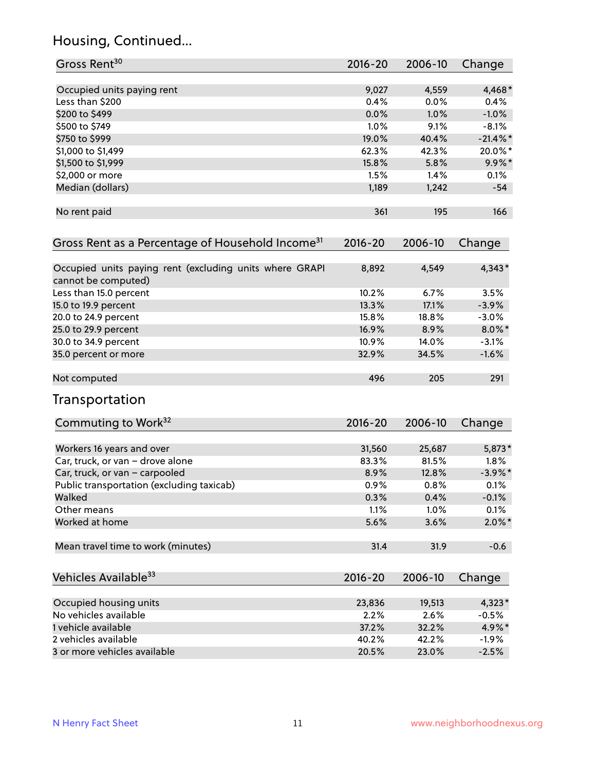## Housing, Continued...

| Gross Rent <sup>30</sup>                                     | 2016-20     | 2006-10 | Change      |
|--------------------------------------------------------------|-------------|---------|-------------|
| Occupied units paying rent                                   | 9,027       | 4,559   | 4,468*      |
| Less than \$200                                              | 0.4%        | 0.0%    | 0.4%        |
| \$200 to \$499                                               | 0.0%        | 1.0%    | $-1.0%$     |
| \$500 to \$749                                               | 1.0%        | 9.1%    | $-8.1%$     |
| \$750 to \$999                                               | 19.0%       | 40.4%   | $-21.4\%$ * |
| \$1,000 to \$1,499                                           | 62.3%       | 42.3%   | 20.0%*      |
| \$1,500 to \$1,999                                           | 15.8%       | 5.8%    | $9.9\%$ *   |
| \$2,000 or more                                              | 1.5%        | 1.4%    | 0.1%        |
|                                                              |             | 1,242   |             |
| Median (dollars)                                             | 1,189       |         | $-54$       |
| No rent paid                                                 | 361         | 195     | 166         |
| Gross Rent as a Percentage of Household Income <sup>31</sup> | $2016 - 20$ | 2006-10 | Change      |
| Occupied units paying rent (excluding units where GRAPI      | 8,892       | 4,549   | 4,343*      |
| cannot be computed)                                          |             |         |             |
| Less than 15.0 percent                                       | 10.2%       | 6.7%    | 3.5%        |
| 15.0 to 19.9 percent                                         | 13.3%       | 17.1%   | $-3.9%$     |
| 20.0 to 24.9 percent                                         | 15.8%       | 18.8%   | $-3.0%$     |
| 25.0 to 29.9 percent                                         | 16.9%       | 8.9%    | $8.0\%$ *   |
| 30.0 to 34.9 percent                                         | 10.9%       | 14.0%   | $-3.1%$     |
| 35.0 percent or more                                         | 32.9%       | 34.5%   | $-1.6%$     |
| Not computed                                                 | 496         | 205     | 291         |
| Transportation                                               |             |         |             |
| Commuting to Work <sup>32</sup>                              | 2016-20     | 2006-10 | Change      |
| Workers 16 years and over                                    | 31,560      | 25,687  | 5,873*      |
| Car, truck, or van - drove alone                             | 83.3%       | 81.5%   | 1.8%        |
| Car, truck, or van - carpooled                               | 8.9%        | 12.8%   | $-3.9\%$ *  |
| Public transportation (excluding taxicab)                    | 0.9%        | 0.8%    | 0.1%        |
| Walked                                                       | 0.3%        | 0.4%    | $-0.1%$     |
| Other means                                                  | 1.1%        | 1.0%    | 0.1%        |
| Worked at home                                               | 5.6%        | 3.6%    | $2.0\%$ *   |
| Mean travel time to work (minutes)                           | 31.4        | 31.9    | $-0.6$      |
| Vehicles Available <sup>33</sup>                             | $2016 - 20$ | 2006-10 | Change      |
|                                                              |             |         |             |
| Occupied housing units                                       | 23,836      | 19,513  | 4,323*      |
| No vehicles available                                        | 2.2%        | 2.6%    | $-0.5%$     |
| 1 vehicle available                                          | 37.2%       | 32.2%   | 4.9%*       |
| 2 vehicles available                                         | 40.2%       | 42.2%   | $-1.9%$     |
| 3 or more vehicles available                                 | 20.5%       | 23.0%   | $-2.5%$     |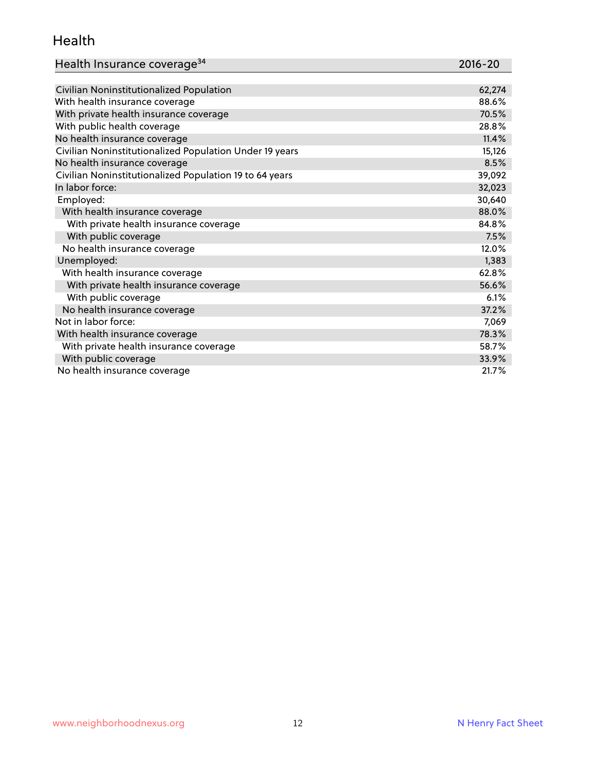#### Health

| Health Insurance coverage <sup>34</sup>                 | 2016-20 |
|---------------------------------------------------------|---------|
|                                                         |         |
| Civilian Noninstitutionalized Population                | 62,274  |
| With health insurance coverage                          | 88.6%   |
| With private health insurance coverage                  | 70.5%   |
| With public health coverage                             | 28.8%   |
| No health insurance coverage                            | 11.4%   |
| Civilian Noninstitutionalized Population Under 19 years | 15,126  |
| No health insurance coverage                            | 8.5%    |
| Civilian Noninstitutionalized Population 19 to 64 years | 39,092  |
| In labor force:                                         | 32,023  |
| Employed:                                               | 30,640  |
| With health insurance coverage                          | 88.0%   |
| With private health insurance coverage                  | 84.8%   |
| With public coverage                                    | 7.5%    |
| No health insurance coverage                            | 12.0%   |
| Unemployed:                                             | 1,383   |
| With health insurance coverage                          | 62.8%   |
| With private health insurance coverage                  | 56.6%   |
| With public coverage                                    | 6.1%    |
| No health insurance coverage                            | 37.2%   |
| Not in labor force:                                     | 7,069   |
| With health insurance coverage                          | 78.3%   |
| With private health insurance coverage                  | 58.7%   |
| With public coverage                                    | 33.9%   |
| No health insurance coverage                            | 21.7%   |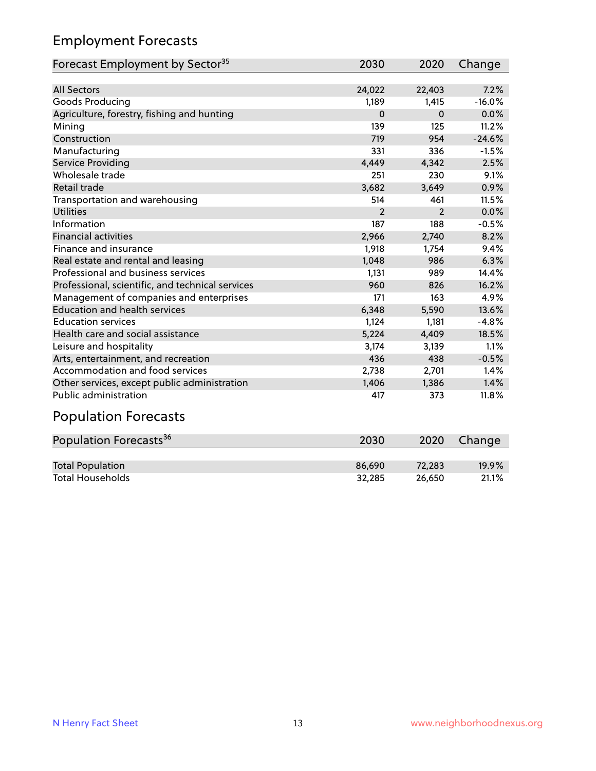## Employment Forecasts

| Forecast Employment by Sector <sup>35</sup>      | 2030           | 2020           | Change   |
|--------------------------------------------------|----------------|----------------|----------|
|                                                  |                |                |          |
| <b>All Sectors</b>                               | 24,022         | 22,403         | 7.2%     |
| Goods Producing                                  | 1,189          | 1,415          | $-16.0%$ |
| Agriculture, forestry, fishing and hunting       | $\Omega$       | $\Omega$       | 0.0%     |
| Mining                                           | 139            | 125            | 11.2%    |
| Construction                                     | 719            | 954            | $-24.6%$ |
| Manufacturing                                    | 331            | 336            | $-1.5%$  |
| Service Providing                                | 4,449          | 4,342          | 2.5%     |
| Wholesale trade                                  | 251            | 230            | 9.1%     |
| <b>Retail trade</b>                              | 3,682          | 3,649          | 0.9%     |
| Transportation and warehousing                   | 514            | 461            | 11.5%    |
| <b>Utilities</b>                                 | $\overline{2}$ | $\overline{2}$ | 0.0%     |
| Information                                      | 187            | 188            | $-0.5%$  |
| <b>Financial activities</b>                      | 2,966          | 2,740          | 8.2%     |
| Finance and insurance                            | 1,918          | 1,754          | 9.4%     |
| Real estate and rental and leasing               | 1,048          | 986            | 6.3%     |
| Professional and business services               | 1,131          | 989            | 14.4%    |
| Professional, scientific, and technical services | 960            | 826            | 16.2%    |
| Management of companies and enterprises          | 171            | 163            | 4.9%     |
| <b>Education and health services</b>             | 6,348          | 5,590          | 13.6%    |
| <b>Education services</b>                        | 1,124          | 1,181          | $-4.8%$  |
| Health care and social assistance                | 5,224          | 4,409          | 18.5%    |
| Leisure and hospitality                          | 3,174          | 3,139          | 1.1%     |
| Arts, entertainment, and recreation              | 436            | 438            | $-0.5%$  |
| Accommodation and food services                  | 2,738          | 2,701          | 1.4%     |
| Other services, except public administration     | 1,406          | 1,386          | 1.4%     |
| <b>Public administration</b>                     | 417            | 373            | 11.8%    |

# Population Forecasts

| Population Forecasts <sup>36</sup> | 2030   | 2020   | Change |
|------------------------------------|--------|--------|--------|
|                                    |        |        |        |
| <b>Total Population</b>            | 86.690 | 72.283 | 19.9%  |
| <b>Total Households</b>            | 32,285 | 26.650 | 21.1%  |